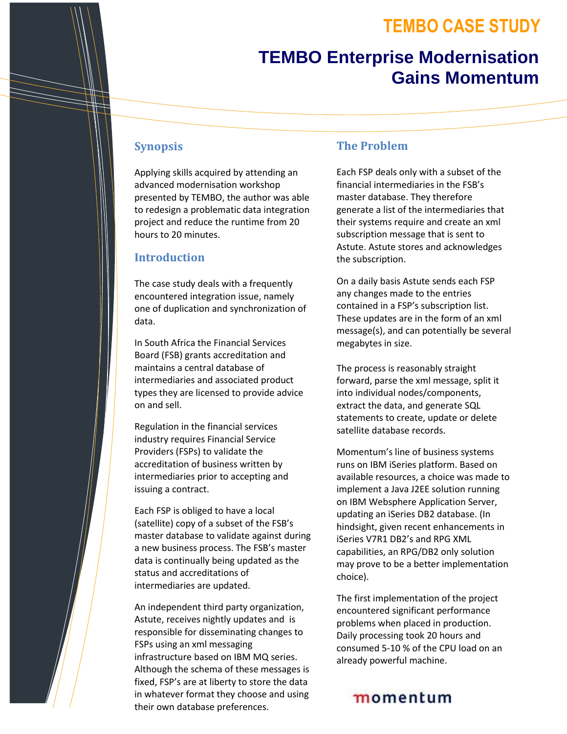## **TEMBO CASE STUDY**

# **TEMBO Enterprise Modernisation Gains Momentum**

#### **Synopsis**

Applying skills acquired by attending an advanced modernisation workshop presented by TEMBO, the author was able to redesign a problematic data integration project and reduce the runtime from 20 hours to 20 minutes.

#### **Introduction**

The case study deals with a frequently encountered integration issue, namely one of duplication and synchronization of data.

In South Africa the Financial Services Board (FSB) grants accreditation and maintains a central database of intermediaries and associated product types they are licensed to provide advice on and sell.

Regulation in the financial services industry requires Financial Service Providers (FSPs) to validate the accreditation of business written by intermediaries prior to accepting and issuing a contract.

Each FSP is obliged to have a local (satellite) copy of a subset of the FSB's master database to validate against during a new business process. The FSB's master data is continually being updated as the status and accreditations of intermediaries are updated.

An independent third party organization, Astute, receives nightly updates and is responsible for disseminating changes to FSPs using an xml messaging infrastructure based on IBM MQ series. Although the schema of these messages is fixed, FSP's are at liberty to store the data in whatever format they choose and using their own database preferences.

#### **The Problem**

Each FSP deals only with a subset of the financial intermediaries in the FSB's master database. They therefore generate a list of the intermediaries that their systems require and create an xml subscription message that is sent to Astute. Astute stores and acknowledges the subscription.

On a daily basis Astute sends each FSP any changes made to the entries contained in a FSP's subscription list. These updates are in the form of an xml message(s), and can potentially be several megabytes in size.

The process is reasonably straight forward, parse the xml message, split it into individual nodes/components, extract the data, and generate SQL statements to create, update or delete satellite database records.

Momentum's line of business systems runs on IBM iSeries platform. Based on available resources, a choice was made to implement a Java J2EE solution running on IBM Websphere Application Server, updating an iSeries DB2 database. (In hindsight, given recent enhancements in iSeries V7R1 DB2's and RPG XML capabilities, an RPG/DB2 only solution may prove to be a better implementation choice).

The first implementation of the project encountered significant performance problems when placed in production. Daily processing took 20 hours and consumed 5-10 % of the CPU load on an already powerful machine.

## momentum